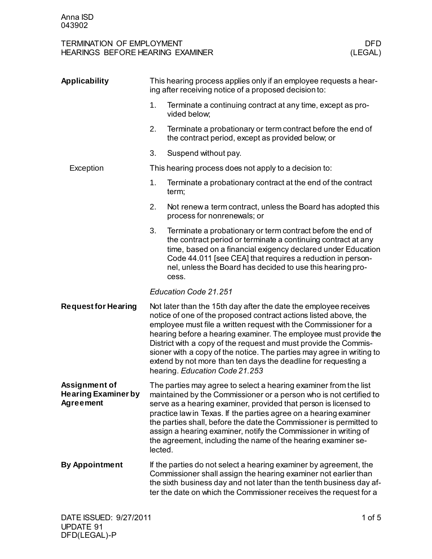## TERMINATION OF EMPLOYMENT<br>
HEARINGS BEFORE HEARING EXAMINER

ULEGAL)

ULEGAL HEARINGS BEFORE HEARING EXAMINER

| Applicability                                            |                                                                                                                                                                                                                                                                                                                                                                                                                                                                                                                               | This hearing process applies only if an employee requests a hear-<br>ing after receiving notice of a proposed decision to:                                                                                                                                                                                                                                                                                                                                                                  |
|----------------------------------------------------------|-------------------------------------------------------------------------------------------------------------------------------------------------------------------------------------------------------------------------------------------------------------------------------------------------------------------------------------------------------------------------------------------------------------------------------------------------------------------------------------------------------------------------------|---------------------------------------------------------------------------------------------------------------------------------------------------------------------------------------------------------------------------------------------------------------------------------------------------------------------------------------------------------------------------------------------------------------------------------------------------------------------------------------------|
|                                                          | 1.                                                                                                                                                                                                                                                                                                                                                                                                                                                                                                                            | Terminate a continuing contract at any time, except as pro-<br>vided below;                                                                                                                                                                                                                                                                                                                                                                                                                 |
|                                                          | 2.                                                                                                                                                                                                                                                                                                                                                                                                                                                                                                                            | Terminate a probationary or term contract before the end of<br>the contract period, except as provided below; or                                                                                                                                                                                                                                                                                                                                                                            |
|                                                          | 3.                                                                                                                                                                                                                                                                                                                                                                                                                                                                                                                            | Suspend without pay.                                                                                                                                                                                                                                                                                                                                                                                                                                                                        |
| Exception                                                |                                                                                                                                                                                                                                                                                                                                                                                                                                                                                                                               | This hearing process does not apply to a decision to:                                                                                                                                                                                                                                                                                                                                                                                                                                       |
|                                                          | 1.                                                                                                                                                                                                                                                                                                                                                                                                                                                                                                                            | Terminate a probationary contract at the end of the contract<br>term;                                                                                                                                                                                                                                                                                                                                                                                                                       |
|                                                          | 2.                                                                                                                                                                                                                                                                                                                                                                                                                                                                                                                            | Not renew a term contract, unless the Board has adopted this<br>process for nonrenewals; or                                                                                                                                                                                                                                                                                                                                                                                                 |
|                                                          | 3.                                                                                                                                                                                                                                                                                                                                                                                                                                                                                                                            | Terminate a probationary or term contract before the end of<br>the contract period or terminate a continuing contract at any<br>time, based on a financial exigency declared under Education<br>Code 44.011 [see CEA] that requires a reduction in person-<br>nel, unless the Board has decided to use this hearing pro-<br>cess.                                                                                                                                                           |
|                                                          |                                                                                                                                                                                                                                                                                                                                                                                                                                                                                                                               | Education Code 21.251                                                                                                                                                                                                                                                                                                                                                                                                                                                                       |
| <b>Request for Hearing</b>                               | Not later than the 15th day after the date the employee receives<br>notice of one of the proposed contract actions listed above, the<br>employee must file a written request with the Commissioner for a<br>hearing before a hearing examiner. The employee must provide the<br>District with a copy of the request and must provide the Commis-<br>sioner with a copy of the notice. The parties may agree in writing to<br>extend by not more than ten days the deadline for requesting a<br>hearing. Education Code 21.253 |                                                                                                                                                                                                                                                                                                                                                                                                                                                                                             |
| Assignment of<br><b>Hearing Examiner by</b><br>Agreement | lected.                                                                                                                                                                                                                                                                                                                                                                                                                                                                                                                       | The parties may agree to select a hearing examiner from the list<br>maintained by the Commissioner or a person who is not certified to<br>serve as a hearing examiner, provided that person is licensed to<br>practice law in Texas. If the parties agree on a hearing examiner<br>the parties shall, before the date the Commissioner is permitted to<br>assign a hearing examiner, notify the Commissioner in writing of<br>the agreement, including the name of the hearing examiner se- |
| <b>By Appointment</b>                                    |                                                                                                                                                                                                                                                                                                                                                                                                                                                                                                                               | If the parties do not select a hearing examiner by agreement, the<br>Commissioner shall assign the hearing examiner not earlier than<br>the sixth business day and not later than the tenth business day af-<br>ter the date on which the Commissioner receives the request for a                                                                                                                                                                                                           |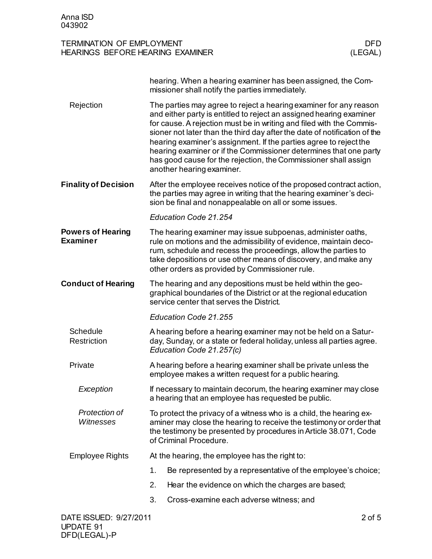| <b>TERMINATION OF EMPLOYMENT</b> |         |
|----------------------------------|---------|
| HEARINGS BEFORE HEARING EXAMINER | (LEGAL, |

|                                             | hearing. When a hearing examiner has been assigned, the Com-<br>missioner shall notify the parties immediately.                                                                                                                                                                                                                                                                                                                                                                                                                         |  |
|---------------------------------------------|-----------------------------------------------------------------------------------------------------------------------------------------------------------------------------------------------------------------------------------------------------------------------------------------------------------------------------------------------------------------------------------------------------------------------------------------------------------------------------------------------------------------------------------------|--|
| Rejection                                   | The parties may agree to reject a hearing examiner for any reason<br>and either party is entitled to reject an assigned hearing examiner<br>for cause. A rejection must be in writing and filed with the Commis-<br>sioner not later than the third day after the date of notification of the<br>hearing examiner's assignment. If the parties agree to reject the<br>hearing examiner or if the Commissioner determines that one party<br>has good cause for the rejection, the Commissioner shall assign<br>another hearing examiner. |  |
| <b>Finality of Decision</b>                 | After the employee receives notice of the proposed contract action,<br>the parties may agree in writing that the hearing examiner's deci-<br>sion be final and nonappealable on all or some issues.                                                                                                                                                                                                                                                                                                                                     |  |
|                                             | Education Code 21.254                                                                                                                                                                                                                                                                                                                                                                                                                                                                                                                   |  |
| <b>Powers of Hearing</b><br><b>Examiner</b> | The hearing examiner may issue subpoenas, administer oaths,<br>rule on motions and the admissibility of evidence, maintain deco-<br>rum, schedule and recess the proceedings, allow the parties to<br>take depositions or use other means of discovery, and make any<br>other orders as provided by Commissioner rule.                                                                                                                                                                                                                  |  |
| <b>Conduct of Hearing</b>                   | The hearing and any depositions must be held within the geo-<br>graphical boundaries of the District or at the regional education<br>service center that serves the District.                                                                                                                                                                                                                                                                                                                                                           |  |
|                                             | Education Code 21.255                                                                                                                                                                                                                                                                                                                                                                                                                                                                                                                   |  |
| Schedule<br>Restriction                     | A hearing before a hearing examiner may not be held on a Satur-<br>day, Sunday, or a state or federal holiday, unless all parties agree.<br>Education Code 21.257(c)                                                                                                                                                                                                                                                                                                                                                                    |  |
| Private                                     | A hearing before a hearing examiner shall be private unless the<br>employee makes a written request for a public hearing.                                                                                                                                                                                                                                                                                                                                                                                                               |  |
| Exception                                   | If necessary to maintain decorum, the hearing examiner may close<br>a hearing that an employee has requested be public.                                                                                                                                                                                                                                                                                                                                                                                                                 |  |
| Protection of<br>Witnesses                  | To protect the privacy of a witness who is a child, the hearing ex-<br>aminer may close the hearing to receive the testimony or order that<br>the testimony be presented by procedures in Article 38.071, Code<br>of Criminal Procedure.                                                                                                                                                                                                                                                                                                |  |
| <b>Employee Rights</b>                      | At the hearing, the employee has the right to:                                                                                                                                                                                                                                                                                                                                                                                                                                                                                          |  |
|                                             | Be represented by a representative of the employee's choice;<br>1.                                                                                                                                                                                                                                                                                                                                                                                                                                                                      |  |
|                                             | 2.<br>Hear the evidence on which the charges are based;                                                                                                                                                                                                                                                                                                                                                                                                                                                                                 |  |
|                                             | 3.<br>Cross-examine each adverse witness; and                                                                                                                                                                                                                                                                                                                                                                                                                                                                                           |  |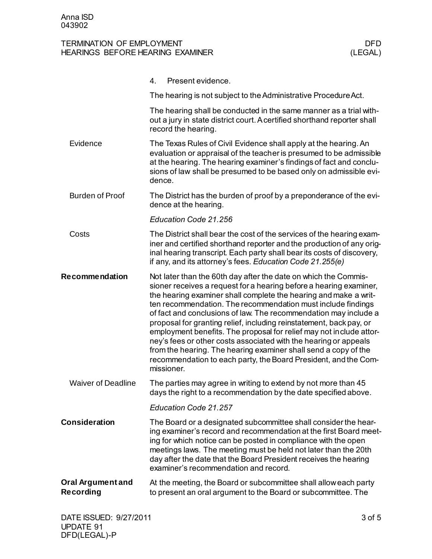## TERMINATION OF EMPLOYMENT<br>
HEARINGS BEFORE HEARING EXAMINER

ULEGAL)

ULEGAL HEARINGS BEFORE HEARING EXAMINER

|                                | 4.<br>Present evidence.                                                                                                                                                                                                                                                                                                                                                                                                                                                                                                                                                                                                                                                                                             |
|--------------------------------|---------------------------------------------------------------------------------------------------------------------------------------------------------------------------------------------------------------------------------------------------------------------------------------------------------------------------------------------------------------------------------------------------------------------------------------------------------------------------------------------------------------------------------------------------------------------------------------------------------------------------------------------------------------------------------------------------------------------|
|                                | The hearing is not subject to the Administrative Procedure Act.                                                                                                                                                                                                                                                                                                                                                                                                                                                                                                                                                                                                                                                     |
|                                | The hearing shall be conducted in the same manner as a trial with-<br>out a jury in state district court. A certified shorthand reporter shall<br>record the hearing.                                                                                                                                                                                                                                                                                                                                                                                                                                                                                                                                               |
| Evidence                       | The Texas Rules of Civil Evidence shall apply at the hearing. An<br>evaluation or appraisal of the teacher is presumed to be admissible<br>at the hearing. The hearing examiner's findings of fact and conclu-<br>sions of law shall be presumed to be based only on admissible evi-<br>dence.                                                                                                                                                                                                                                                                                                                                                                                                                      |
| <b>Burden of Proof</b>         | The District has the burden of proof by a preponderance of the evi-<br>dence at the hearing.                                                                                                                                                                                                                                                                                                                                                                                                                                                                                                                                                                                                                        |
|                                | Education Code 21.256                                                                                                                                                                                                                                                                                                                                                                                                                                                                                                                                                                                                                                                                                               |
| Costs                          | The District shall bear the cost of the services of the hearing exam-<br>iner and certified shorthand reporter and the production of any orig-<br>inal hearing transcript. Each party shall bear its costs of discovery,<br>if any, and its attorney's fees. Education Code 21.255(e)                                                                                                                                                                                                                                                                                                                                                                                                                               |
| <b>Recommendation</b>          | Not later than the 60th day after the date on which the Commis-<br>sioner receives a request for a hearing before a hearing examiner,<br>the hearing examiner shall complete the hearing and make a writ-<br>ten recommendation. The recommendation must include findings<br>of fact and conclusions of law. The recommendation may include a<br>proposal for granting relief, including reinstatement, back pay, or<br>employment benefits. The proposal for relief may not include attor-<br>ney's fees or other costs associated with the hearing or appeals<br>from the hearing. The hearing examiner shall send a copy of the<br>recommendation to each party, the Board President, and the Com-<br>missioner. |
| <b>Waiver of Deadline</b>      | The parties may agree in writing to extend by not more than 45<br>days the right to a recommendation by the date specified above.                                                                                                                                                                                                                                                                                                                                                                                                                                                                                                                                                                                   |
|                                | Education Code 21.257                                                                                                                                                                                                                                                                                                                                                                                                                                                                                                                                                                                                                                                                                               |
| <b>Consideration</b>           | The Board or a designated subcommittee shall consider the hear-<br>ing examiner's record and recommendation at the first Board meet-<br>ing for which notice can be posted in compliance with the open<br>meetings laws. The meeting must be held not later than the 20th<br>day after the date that the Board President receives the hearing<br>examiner's recommendation and record.                                                                                                                                                                                                                                                                                                                              |
| Oral Argument and<br>Recording | At the meeting, the Board or subcommittee shall allow each party<br>to present an oral argument to the Board or subcommittee. The                                                                                                                                                                                                                                                                                                                                                                                                                                                                                                                                                                                   |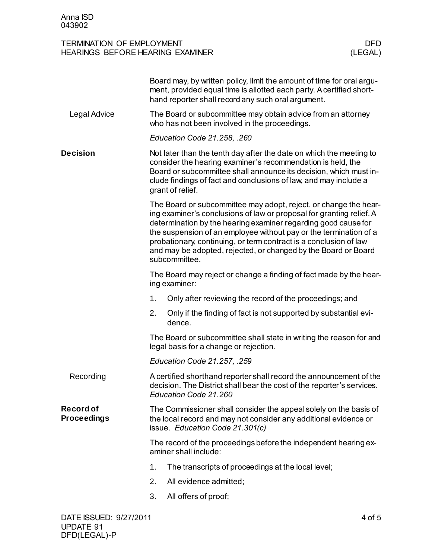## TERMINATION OF EMPLOYMENT<br>
HEARINGS BEFORE HEARING EXAMINER

ULEGAL)

ULEGAL HEARINGS BEFORE HEARING EXAMINER

|                                 | Board may, by written policy, limit the amount of time for oral argu-<br>ment, provided equal time is allotted each party. A certified short-<br>hand reporter shall record any such oral argument.                                                                                                                                                                                                                                     |  |  |
|---------------------------------|-----------------------------------------------------------------------------------------------------------------------------------------------------------------------------------------------------------------------------------------------------------------------------------------------------------------------------------------------------------------------------------------------------------------------------------------|--|--|
| Legal Advice                    | The Board or subcommittee may obtain advice from an attorney<br>who has not been involved in the proceedings.                                                                                                                                                                                                                                                                                                                           |  |  |
|                                 | Education Code 21.258, .260                                                                                                                                                                                                                                                                                                                                                                                                             |  |  |
| <b>Decision</b>                 | Not later than the tenth day after the date on which the meeting to<br>consider the hearing examiner's recommendation is held, the<br>Board or subcommittee shall announce its decision, which must in-<br>clude findings of fact and conclusions of law, and may include a<br>grant of relief.                                                                                                                                         |  |  |
|                                 | The Board or subcommittee may adopt, reject, or change the hear-<br>ing examiner's conclusions of law or proposal for granting relief. A<br>determination by the hearing examiner regarding good cause for<br>the suspension of an employee without pay or the termination of a<br>probationary, continuing, or term contract is a conclusion of law<br>and may be adopted, rejected, or changed by the Board or Board<br>subcommittee. |  |  |
|                                 | The Board may reject or change a finding of fact made by the hear-<br>ing examiner:                                                                                                                                                                                                                                                                                                                                                     |  |  |
|                                 | Only after reviewing the record of the proceedings; and<br>1.                                                                                                                                                                                                                                                                                                                                                                           |  |  |
|                                 | 2.<br>Only if the finding of fact is not supported by substantial evi-<br>dence.                                                                                                                                                                                                                                                                                                                                                        |  |  |
|                                 | The Board or subcommittee shall state in writing the reason for and<br>legal basis for a change or rejection.                                                                                                                                                                                                                                                                                                                           |  |  |
|                                 | Education Code 21.257, .259                                                                                                                                                                                                                                                                                                                                                                                                             |  |  |
| Recording                       | A certified shorthand reporter shall record the announcement of the<br>decision. The District shall bear the cost of the reporter's services.<br>Education Code 21.260                                                                                                                                                                                                                                                                  |  |  |
| Record of<br><b>Proceedings</b> | The Commissioner shall consider the appeal solely on the basis of<br>the local record and may not consider any additional evidence or<br>issue. Education Code 21.301(c)                                                                                                                                                                                                                                                                |  |  |
|                                 | The record of the proceedings before the independent hearing ex-<br>aminer shall include:                                                                                                                                                                                                                                                                                                                                               |  |  |
|                                 | The transcripts of proceedings at the local level;<br>1.                                                                                                                                                                                                                                                                                                                                                                                |  |  |
|                                 | 2.<br>All evidence admitted;                                                                                                                                                                                                                                                                                                                                                                                                            |  |  |
|                                 | All offers of proof;<br>3.                                                                                                                                                                                                                                                                                                                                                                                                              |  |  |
|                                 |                                                                                                                                                                                                                                                                                                                                                                                                                                         |  |  |